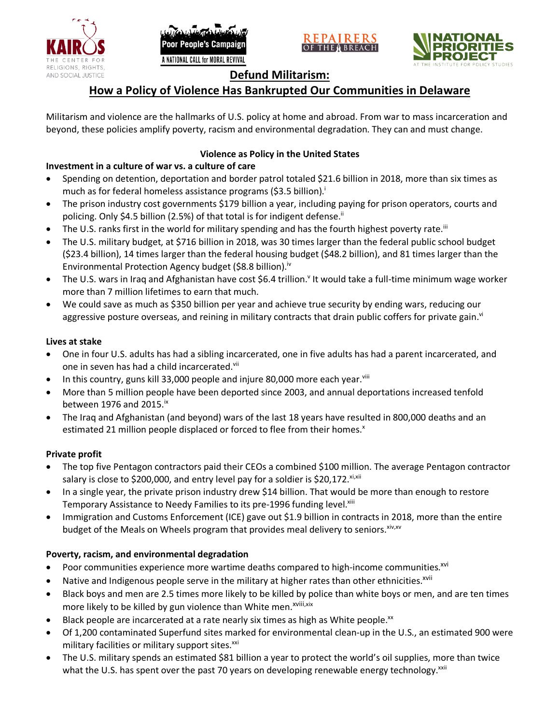





# **Defund Militarism:**

# **How a Policy of Violence Has Bankrupted Our Communities in Delaware**

Militarism and violence are the hallmarks of U.S. policy at home and abroad. From war to mass incarceration and beyond, these policies amplify poverty, racism and environmental degradation. They can and must change.

# **Violence as Policy in the United States**

# **Investment in a culture of war vs. a culture of care**

- Spending on detention, deportation and border patrol totaled \$21.6 billion in 2018, more than six times as much as for federal homeless assistance programs (\$3.5 billion).<sup>i</sup>
- The prison industry cost governments \$179 billion a year, including paying for prison operators, courts and policing. Only \$4.5 billion (2.5%) of that total is for indigent defense.<sup>ii</sup>
- The U.S. ranks first in the world for military spending and has the fourth highest poverty rate.<sup>iii</sup>
- The U.S. military budget, at \$716 billion in 2018, was 30 times larger than the federal public school budget (\$23.4 billion), 14 times larger than the federal housing budget (\$48.2 billion), and 81 times larger than the Environmental Protection Agency budget (\$8.8 billion).<sup>iv</sup>
- The U.S. wars in Iraq and Afghanistan have cost \$6.4 trillion.<sup>v</sup> It would take a full-time minimum wage worker more than 7 million lifetimes to earn that much.
- We could save as much as \$350 billion per year and achieve true security by ending wars, reducing our aggressive posture overseas, and reining in military contracts that drain public coffers for private gain.<sup>vi</sup>

#### **Lives at stake**

- One in four U.S. adults has had a sibling incarcerated, one in five adults has had a parent incarcerated, and one in seven has had a child incarcerated.vii
- In this country, guns kill 33,000 people and injure 80,000 more each year. $v_{\text{lin}}$
- More than 5 million people have been deported since 2003, and annual deportations increased tenfold between 1976 and 2015. $\mathrm{i}$ <sup>x</sup>
- The Iraq and Afghanistan (and beyond) wars of the last 18 years have resulted in 800,000 deaths and an estimated 21 million people displaced or forced to flee from their homes.<sup>x</sup>

#### **Private profit**

- The top five Pentagon contractors paid their CEOs a combined \$100 million. The average Pentagon contractor salary is close to \$200,000, and entry level pay for a soldier is \$20,172. xi,xii
- In a single year, the private prison industry drew \$14 billion. That would be more than enough to restore Temporary Assistance to Needy Families to its pre-1996 funding level.<sup>xiii</sup>
- Immigration and Customs Enforcement (ICE) gave out \$1.9 billion in contracts in 2018, more than the entire budget of the Meals on Wheels program that provides meal delivery to seniors. Xiv, XV

### **Poverty, racism, and environmental degradation**

- Poor communities experience more wartime deaths compared to high-income communities.<sup>xvi</sup>
- Native and Indigenous people serve in the military at higher rates than other ethnicities.<sup>xvii</sup>
- Black boys and men are 2.5 times more likely to be killed by police than white boys or men, and are ten times more likely to be killed by gun violence than White men.<sup>xviii,xix</sup>
- Black people are incarcerated at a rate nearly six times as high as White people.<sup>xx</sup>
- Of 1,200 contaminated Superfund sites marked for environmental clean-up in the U.S., an estimated 900 were military facilities or military support sites.<sup>xxi</sup>
- The U.S. military spends an estimated \$81 billion a year to protect the world's oil supplies, more than twice what the U.S. has spent over the past 70 years on developing renewable energy technology.<sup>xxii</sup>